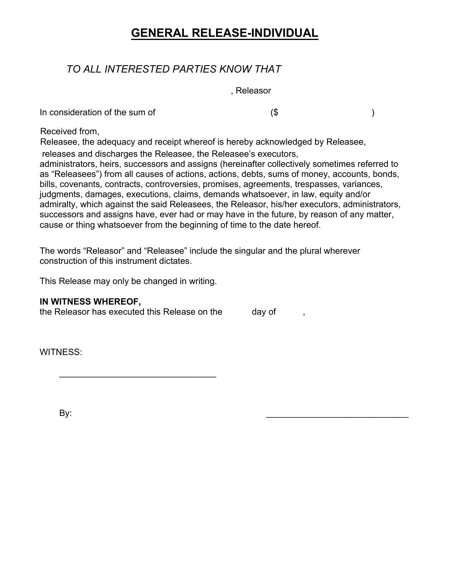# **GENERAL RELEASE-INDIVIDUAL**

### *TO ALL INTERESTED PARTIES KNOW THAT*

, Releasor

In consideration of the sum of (\$ )

Received from,

Releasee, the adequacy and receipt whereof is hereby acknowledged by Releasee,

releases and discharges the Releasee, the Releasee's executors,

administrators, heirs, successors and assigns (hereinafter collectively sometimes referred to as "Releasees") from all causes of actions, actions, debts, sums of money, accounts, bonds, bills, covenants, contracts, controversies, promises, agreements, trespasses, variances, judgments, damages, executions, claims, demands whatsoever, in law, equity and/or admiralty, which against the said Releasees, the Releasor, his/her executors, administrators, successors and assigns have, ever had or may have in the future, by reason of any matter, cause or thing whatsoever from the beginning of time to the date hereof.

The words "Releasor" and "Releasee" include the singular and the plural wherever construction of this instrument dictates.

This Release may only be changed in writing.

 $\overline{\phantom{a}}$  ,  $\overline{\phantom{a}}$  ,  $\overline{\phantom{a}}$  ,  $\overline{\phantom{a}}$  ,  $\overline{\phantom{a}}$  ,  $\overline{\phantom{a}}$  ,  $\overline{\phantom{a}}$  ,  $\overline{\phantom{a}}$  ,  $\overline{\phantom{a}}$  ,  $\overline{\phantom{a}}$  ,  $\overline{\phantom{a}}$  ,  $\overline{\phantom{a}}$  ,  $\overline{\phantom{a}}$  ,  $\overline{\phantom{a}}$  ,  $\overline{\phantom{a}}$  ,  $\overline{\phantom{a}}$ 

### **IN WITNESS WHEREOF,**

the Releasor has executed this Release on the day of

WITNESS:

By: \_\_\_\_\_\_\_\_\_\_\_\_\_\_\_\_\_\_\_\_\_\_\_\_\_\_\_\_\_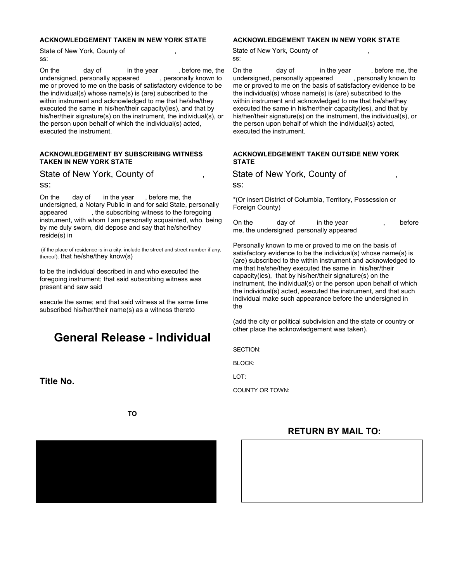#### **ACKNOWLEDGEMENT TAKEN IN NEW YORK STATE**

State of New York, County of ss:

On the day of in the year , before me, the undersigned, personally appeared , personally known to undersigned, personally appeared me or proved to me on the basis of satisfactory evidence to be the individual(s) whose name(s) is (are) subscribed to the within instrument and acknowledged to me that he/she/they executed the same in his/her/their capacity(ies), and that by his/her/their signature(s) on the instrument, the individual(s), or the person upon behalf of which the individual(s) acted, executed the instrument.

#### **ACKNOWLEDGEMENT BY SUBSCRIBING WITNESS TAKEN IN NEW YORK STATE**

State of New York, County of

ss:

On the day of in the year , before me, the undersigned, a Notary Public in and for said State, personally appeared , the subscribing witness to the foregoing instrument, with whom I am personally acquainted, who, being by me duly sworn, did depose and say that he/she/they reside(s) in

 (if the place of residence is in a city, include the street and street number if any, thereof); that he/she/they know(s)

to be the individual described in and who executed the foregoing instrument; that said subscribing witness was present and saw said

execute the same; and that said witness at the same time subscribed his/her/their name(s) as a witness thereto

# **General Release - Individual**

**Title No.** 

**TO** 



### **ACKNOWLEDGEMENT TAKEN IN NEW YORK STATE**

State of New York, County of ss:

On the day of in the year , before me, the undersigned, personally appeared , personally known to undersigned, personally appeared me or proved to me on the basis of satisfactory evidence to be the individual(s) whose name(s) is (are) subscribed to the within instrument and acknowledged to me that he/she/they executed the same in his/her/their capacity(ies), and that by his/her/their signature(s) on the instrument, the individual(s), or the person upon behalf of which the individual(s) acted, executed the instrument.

#### **ACKNOWLEDGEMENT TAKEN OUTSIDE NEW YORK STATE**

State of New York, County of , ss:

\*(Or insert District of Columbia, Territory, Possession or Foreign County)

| On the | day of | in the year                             | before |
|--------|--------|-----------------------------------------|--------|
|        |        | me, the undersigned personally appeared |        |

Personally known to me or proved to me on the basis of satisfactory evidence to be the individual(s) whose name(s) is (are) subscribed to the within instrument and acknowledged to me that he/she/they executed the same in his/her/their capacity(ies), that by his/her/their signature(s) on the instrument, the individual(s) or the person upon behalf of which the individual(s) acted, executed the instrument, and that such individual make such appearance before the undersigned in the

(add the city or political subdivision and the state or country or other place the acknowledgement was taken).

SECTION:

BLOCK:

LOT:

COUNTY OR TOWN:

### **RETURN BY MAIL TO:**